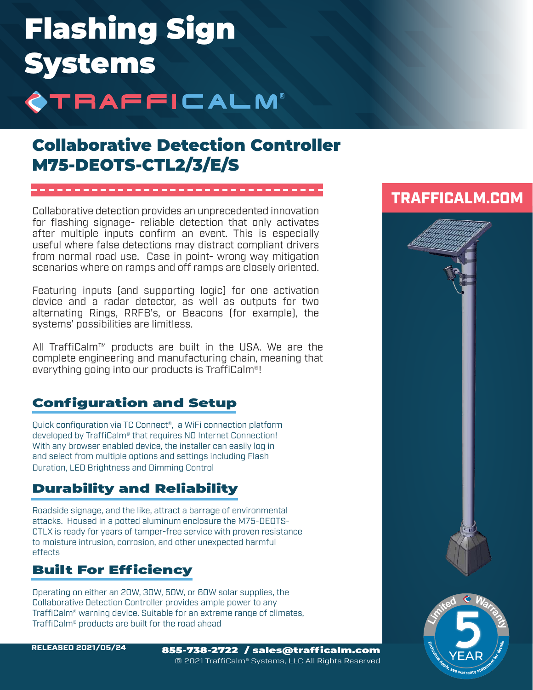# Flashing Sign Systems **STRAFFICALM®**

## Collaborative Detection Controller M75-DEOTS-CTL2/3/E/S

Collaborative detection provides an unprecedented innovation for flashing signage- reliable detection that only activates after multiple inputs confirm an event. This is especially useful where false detections may distract compliant drivers from normal road use. Case in point- wrong way mitigation scenarios where on ramps and off ramps are closely oriented.

Featuring inputs (and supporting logic) for one activation device and a radar detector, as well as outputs for two alternating Rings, RRFB's, or Beacons (for example), the systems' possibilities are limitless.

All TraffiCalm™ products are built in the USA. We are the complete engineering and manufacturing chain, meaning that everything going into our products is TraffiCalm®!

### Configuration and Setup

Quick configuration via TC Connect®, a WiFi connection platform developed by TraffiCalm® that requires NO Internet Connection! With any browser enabled device, the installer can easily log in and select from multiple options and settings including Flash Duration, LED Brightness and Dimming Control

### Durability and Reliability

Roadside signage, and the like, attract a barrage of environmental attacks. Housed in a potted aluminum enclosure the M75-DEOTS-CTLX is ready for years of tamper-free service with proven resistance to moisture intrusion, corrosion, and other unexpected harmful effects

### Built For Efficiency

Operating on either an 20W, 30W, 50W, or 60W solar supplies, the Collaborative Detection Controller provides ample power to any TraffiCalm® warning device. Suitable for an extreme range of climates, TraffiCalm® products are built for the road ahead

### TRAFFICALM.COM



RELEASED 2021/05/24 855-738-2722 / sales@trafficalm.com © 2021 TraffiCalm® Systems, LLC All Rights Reserved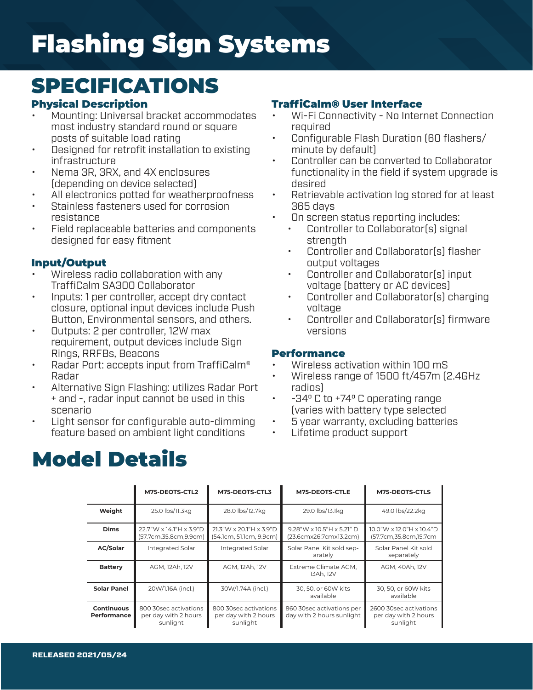# Flashing Sign Systems

## SPECIFICATIONS

#### Physical Description

- Mounting: Universal bracket accommodates most industry standard round or square posts of suitable load rating
- Designed for retrofit installation to existing infrastructure
- Nema 3R, 3RX, and 4X enclosures (depending on device selected)
- All electronics potted for weatherproofness
- Stainless fasteners used for corrosion resistance
- Field replaceable batteries and components designed for easy fitment

#### Input/Output

- Wireless radio collaboration with any TraffiCalm SA300 Collaborator
- Inputs: 1 per controller, accept dry contact closure, optional input devices include Push Button, Environmental sensors, and others.
- Outputs: 2 per controller, 12W max requirement, output devices include Sign Rings, RRFBs, Beacons
- Radar Port: accepts input from TraffiCalm® Radar
- Alternative Sign Flashing: utilizes Radar Port + and -, radar input cannot be used in this scenario
- Light sensor for configurable auto-dimming feature based on ambient light conditions

#### TraffiCalm® User Interface

- Wi-Fi Connectivity No Internet Connection required
- Configurable Flash Duration (60 flashers/ minute by default)
- Controller can be converted to Collaborator functionality in the field if system upgrade is desired
- Retrievable activation log stored for at least 365 days
- On screen status reporting includes:
	- Controller to Collaborator(s) signal strength
	- Controller and Collaborator(s) flasher output voltages
	- Controller and Collaborator(s) input voltage (battery or AC devices)
	- Controller and Collaborator(s) charging voltage
	- Controller and Collaborator(s) firmware versions

#### **Performance**

- Wireless activation within 100 mS
- Wireless range of 1500 ft/457m (2.4GHz radios)
- -340 C to +740 C operating range (varies with battery type selected
- 5 year warranty, excluding batteries
- Lifetime product support

## Model Details

|                                         | M75-DEOTS-CTL2                                            | M75-DEOTS-CTL3                                            | M75-DEOTS-CTLE                                         | <b>M75-DEOTS-CTLS</b>                                      |  |
|-----------------------------------------|-----------------------------------------------------------|-----------------------------------------------------------|--------------------------------------------------------|------------------------------------------------------------|--|
| Weight                                  | 25.0 lbs/11.3kg                                           | 28.0 lbs/12.7kg                                           | 29.0 lbs/13.1kg                                        | 49.0 lbs/22.2kg                                            |  |
| <b>Dims</b>                             | 22.7"W x 14.1"H x 3.9"D<br>(57.7cm,35.8cm,9.9cm)          | $21.3"$ W x 20.1"H x 3.9"D<br>(54.1cm, 51.1cm, 9.9cm)     | 9.28"W x 10.5"H x 5.21" D<br>(23.6cmx26.7cmx13.2cm)    | 10.0"W x 12.0"H x 10.4"D<br>(57.7cm,35.8cm,15.7cm          |  |
| <b>AC/Solar</b>                         | Integrated Solar                                          | <b>Integrated Solar</b>                                   | Solar Panel Kit sold sep-<br>arately                   | Solar Panel Kit sold<br>separately                         |  |
| <b>Battery</b>                          | AGM, 12Ah, 12V                                            | AGM, 12Ah, 12V                                            | Extreme Climate AGM.<br>13Ah. 12V                      | AGM, 40Ah, 12V                                             |  |
| <b>Solar Panel</b>                      | 20W/1.16A (incl.)                                         | 30W/1.74A (incl.)                                         | 30, 50, or 60W kits<br>available                       | 30, 50, or 60W kits<br>available                           |  |
| <b>Continuous</b><br><b>Performance</b> | 800 30sec activations<br>per day with 2 hours<br>sunlight | 800 30sec activations<br>per day with 2 hours<br>sunlight | 860 30sec activations per<br>day with 2 hours sunlight | 2600 30sec activations<br>per day with 2 hours<br>sunlight |  |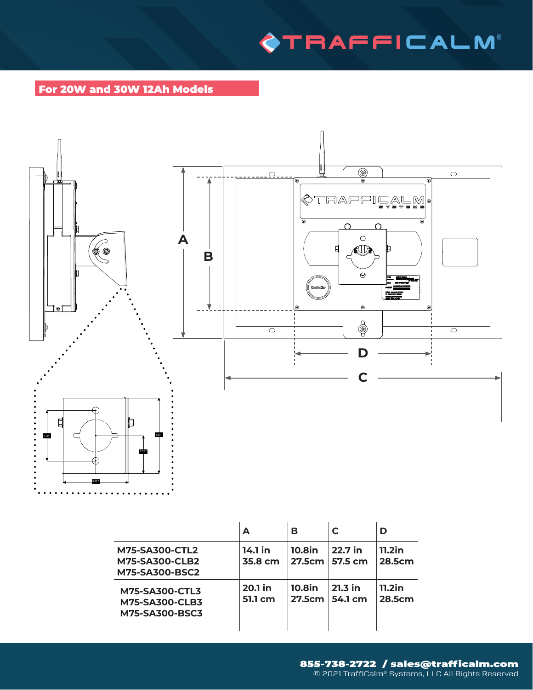## **OTRAFFICALM**

#### For 20W and 30W 12Ah Models

 $\overline{a}$ 



|                                                                         | A                  | в                              | C                           | D                   |
|-------------------------------------------------------------------------|--------------------|--------------------------------|-----------------------------|---------------------|
| <b>M75-SA300-CTL2</b><br><b>M75-SA300-CLB2</b><br><b>M75-SA300-BSC2</b> | 14.1 in<br>35.8 cm | <b>10.8in</b><br>27.5cm        | 22.7 in<br><b>57.5 cm</b>   | $11.2$ in<br>28.5cm |
| <b>M75-SA300-CTL3</b><br><b>M75-SA300-CLB3</b><br><b>M75-SA300-BSC3</b> | 20.1 in<br>51.1 cm | <b>10.8in</b><br><b>27.5cm</b> | $21.3$ in<br><b>54.1 cm</b> | $11.2$ in<br>28.5cm |